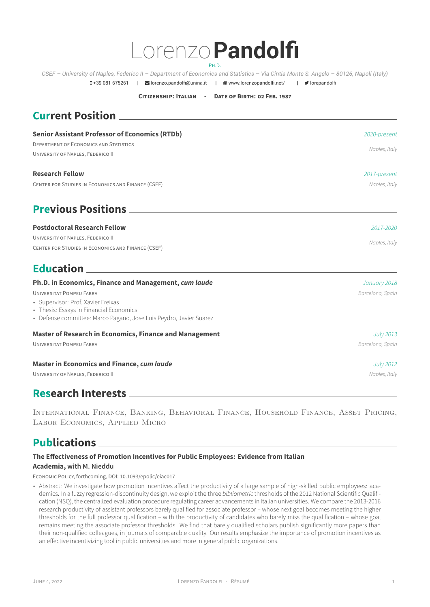## Lorenzo**Pandolfi** PH.D.

*CSEF – University of Naples, Federico II – Department of Economics and Statistics – Via Cintia Monte S. Angelo – 80126, Napoli (Italy)*

**CITIZENSHIP: ITALIAN - DATE OF BIRTH: 02 FEB. 1987**

**0+39 081 675261 | Sorenzo.pandolfi@unina.it | # www.lorenzopandolfi.net/ | 9 lorepandolfi** 

| <b>Senior Assistant Professor of Economics (RTDb)</b><br><b>DEPARTMENT OF ECONOMICS AND STATISTICS</b><br>UNIVERSITY OF NAPLES, FEDERICO II                                                                                                     | 2020-present<br>Naples, Italy    |
|-------------------------------------------------------------------------------------------------------------------------------------------------------------------------------------------------------------------------------------------------|----------------------------------|
| <b>Research Fellow</b><br>CENTER FOR STUDIES IN ECONOMICS AND FINANCE (CSEF)                                                                                                                                                                    | 2017-present<br>Naples, Italy    |
| <b>Previous Positions</b>                                                                                                                                                                                                                       |                                  |
| <b>Postdoctoral Research Fellow</b><br>UNIVERSITY OF NAPLES, FEDERICO II<br>CENTER FOR STUDIES IN ECONOMICS AND FINANCE (CSEF)                                                                                                                  | 2017-2020<br>Naples, Italy       |
|                                                                                                                                                                                                                                                 |                                  |
| Ph.D. in Economics, Finance and Management, cum laude<br><b>UNIVERSITAT POMPEU FABRA</b><br>• Supervisor: Prof. Xavier Freixas<br>• Thesis: Essays in Financial Economics<br>• Defense committee: Marco Pagano, Jose Luis Peydro, Javier Suarez | January 2018<br>Barcelona, Spain |
| <b>Master of Research in Economics, Finance and Management</b><br><b>UNIVERSITAT POMPEU FABRA</b>                                                                                                                                               | July 2013<br>Barcelona, Spain    |
| <b>Master in Economics and Finance, cum laude</b><br>UNIVERSITY OF NAPLES, FEDERICO II                                                                                                                                                          | July 2012<br>Naples, Italy       |

## **Research Interests**

International Finance, Banking, Behavioral Finance, Household Finance, Asset Pricing, Labor Economics, Applied Micro

## **Publications**

### **The Effectiveness of Promotion Incentives for Public Employees: Evidence from Italian Academia, with M. Nieddu**

ECONOMIC POLICY, forthcoming, DOI: 10.1093/epolic/eiac017

• Abstract: We investigate how promotion incentives affect the productivity of a large sample of high-skilled public employees: aca[demics. In a fuzzy regression-discontinuity design, we exploit the three](https://doi.org/10.1093/epolic/eiac017) *bibliometric* thresholds of the 2012 National Scientific Qualifi[cation \(NS](https://doi.org/10.1093/epolic/eiac017)Q), th[e centralized e](https://www.marconieddu.net/)valuation procedure regulating career advancements in Italian universities. We compare the 2013-2016 research productivity of as[sistant professors barely q](https://doi.org/10.1093/epolic/eiac017)ualified for associate professor – whose next goal becomes meeting the higher thresholds for the full professor qualification – with the productivity of candidates who barely miss the qualification – whose goal remains meeting the associate professor thresholds. We find that barely qualified scholars publish significantly more papers than their non-qualified colleagues, in journals of comparable quality. Our results emphasize the importance of promotion incentives as an effective incentivizing tool in public universities and more in general public organizations.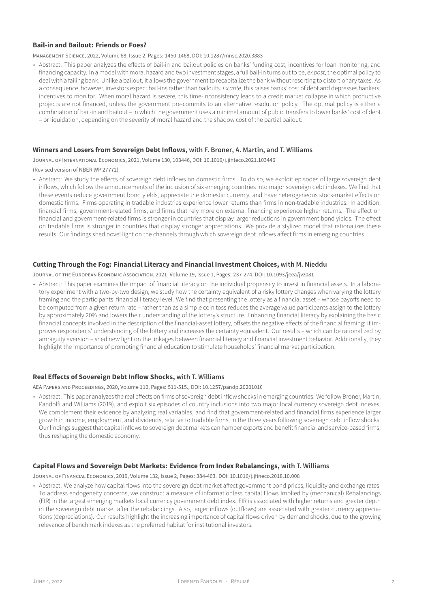#### **Bail-in and Bailout: Friends or Foes?**

MANAGEMENT SCIENCE, 2022, Volume 68, Issue 2, Pages: 1450-1468, DOI: 10.1287/mnsc.2020.3883

• Abstract: This paper analyzes the effects of bail-in and bailout policies on banks' funding cost, incentives for loan monitoring, and financing capacity. In a model with moral hazard and two investment stages, a full bail-in turns out to be, *ex post*, the optimal policy to [deal with a failing bank. Unlike a bailout, it](https://doi.org/10.1287/mnsc.2020.3883) allows the government to recapitalize the bank without resorting to distortionary taxes. As a consequence, however, investors expect bail-ins rather th[an bailouts.](https://doi.org/10.1287/mnsc.2020.3883) *Ex ante*, this raises banks' cost of debt and depresses bankers' incentives to monitor. When moral hazard is severe, this time-inconsistency leads to a credit market collapse in which productive projects are not financed, unless the government pre-commits to an alternative resolution policy. The optimal policy is either a combination of bail-in and bailout – in which the government uses a minimal amount of public transfers to lower banks' cost of debt – or liquidation, depending on the severity of moral hazard and the shadow cost of the partial bailout.

#### **Winners and Losers from Sovereign Debt Inflows, with F. Broner, A. Martin, and T. Williams**

JOURNAL OF INTERNATIONAL ECONOMICS, 2021, Volume 130, 103446, DOI: 10.1016/j.jinteco.2021.103446

(Revised version of NBER WP 27772)

• Abstract: We study the effects of sovereign debt inflows on domestic firms. To do so, we exploit episodes of large sovereign debt [inflows, which follow the announcements of the inclusion](https://doi.org/10.1016/j.jinteco.2021.103446) of six [emerging c](http://www.crei.cat/people/broner/)[ountries int](http://www.crei.cat/~martin/)o maj[or sovereign d](http://tomas-williams.com)ebt indexes. We find that these events reduce government bond yields, appreciate [the domestic currency, and have](https://doi.org/10.1016/j.jinteco.2021.103446) heterogeneous stock-market effects on domestic firms[. Firms operatin](https://www.nber.org/papers/w27772)g in tradable industries experience lower returns than firms in non-tradable industries. In addition, financial firms, government-related firms, and firms that rely more on external financing experience higher returns. The effect on financial and government-related firms is stronger in countries that display larger reductions in government bond yields. The effect on tradable firms is stronger in countries that display stronger appreciations. We provide a stylized model that rationalizes these results. Our findings shed novel light on the channels through which sovereign debt inflows affect firms in emerging countries.

#### **Cutting Through the Fog: Financial Literacy and Financial Investment Choices, with M. Nieddu**

JOURNAL OF THE EUROPEAN ECONOMIC ASSOCIATION, 2021, Volume 19, Issue 1, Pages: 237-274, DOI: 10.1093/jeea/jvz081

• Abstract: This paper examines the impact of financial literacy on the individual propensity to invest in financial assets. In a laboratory experiment with a two-by-two design, we study how the certainty equivalent of a risky lottery changes when varying the lottery [framing and the participants' financial literacy level. We find that presenting the lottery as a f](https://academic.oup.com/jeea/advance-article/doi/10.1093/jeea/jvz081/5721773)inanc[ial asset – wh](https://www.marconieddu.net/)ose payoffs need to be computed from a given return rate – rather than as a simple coin toss reduces t[he average value particip](https://doi.org/10.1093/jeea/jvz081)ants assign to the lottery by approximately 20% and lowers their understanding of the lottery's structure. Enhancing financial literacy by explaining the basic financial concepts involved in the description of the financial-asset lottery, offsets the negative effects of the financial framing: it improves respondents' understanding of the lottery and increases the certainty equivalent. Our results – which can be rationalized by ambiguity aversion – shed new light on the linkages between financial literacy and financial investment behavior. Additionally, they highlight the importance of promoting financial education to stimulate households' financial market participation.

#### **Real Effects of Sovereign Debt Inflow Shocks, with T. Williams**

AEA PAPERS AND PROCEEDINGS, 2020, Volume 110, Pages: 511-515., DOI: 10.1257/pandp.20201010

• Abstract: This paper analyzes the real effects on firms of sovereign debt inflow shocks in emerging countries. We follow Broner, Martin, Pandolfi and Williams (2019), and exploit six episodes of country inclusions into two major local currency sovereign debt indexes. [We complement their evidence by analyzing real var](https://pubs.aeaweb.org/doi/pdfplus/10.1257/pandp.20201010)iable[s, and find tha](http://tomas-williams.com/)t government-related and financial firms experience larger growth in income, employment, and dividends, relative to [tradable firms, in the three y](https://doi.org/10.1257/pandp.20201010)ears following sovereign debt inflow shocks. Our findings suggest that capital inflows to sovereign debt markets can hamper exports and benefit financial and service-based firms, thus reshaping the domestic economy.

#### **Capital Flows and Sovereign Debt Markets: Evidence from Index Rebalancings, with T. Williams**

JOURNAL OF FINANCIAL ECONOMICS, 2019, Volume 132, Issue 2, Pages: 384-403. DOI: 10.1016/j.jfineco.2018.10.008

• Abstract: We analyze how capital flows into the sovereign debt market affect government bond prices, liquidity and exchange rates. To address endogeneity concerns, we construct a measure of informationless capital Flows Implied by (mechanical) Rebalancings [\(FIR\) in the largest emerging markets local currency government debt index. FIR is associated](https://doi.org/10.1016/j.jfineco.2018.10.008) with [higher return](http://tomas-williams.com/)s and greater depth in the sovereign debt market after the rebalancings. Also, larger infl[ows \(outflows\) are associated w](https://doi.org/10.1016/j.jfineco.2018.10.008)ith greater currency appreciations (depreciations). Our results highlight the increasing importance of capital flows driven by demand shocks, due to the growing relevance of benchmark indexes as the preferred habitat for institutional investors.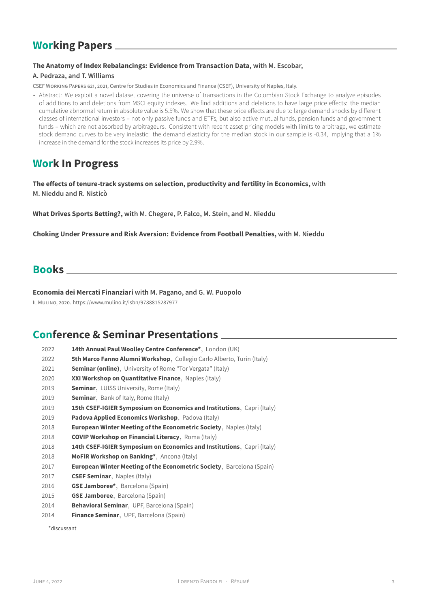## **Working Papers**

### **The Anatomy of Index Rebalancings: Evidence from Transaction Data, with M. Escobar,**

### **A. Pedraza, and T. Williams**

CSEF WORKING PAPERS 621, 2021, Centre for Studies in Economics and Finance (CSEF), University of Naples, Italy.

• Abstract: We exploit a novel dataset covering the universe of transactions in the Colombian Stock Exchange to analyze episodes [of additions to and deletions from MSCI equity indexes. We find additions and d](https://ideas.repec.org/p/sef/csefwp/621.html)eletions to have large price effects: the median [cumulative](https://sites.google.com/site/decrgalvaropedraza) abn[ormal return i](http://tomas-williams.com)n absolute value is 5.5%. We show that these price effects are due to large demand shocks by different classes of international investors – not only passive funds and ETFs, but also active mutual funds, pension funds and government funds – which are not absorbed by arbitrageurs. Consistent with recent asset pricing models with limits to arbitrage, we estimate stock demand curves to be very inelastic: the demand elasticity for the median stock in our sample is -0.34, implying that a 1% increase in the demand for the stock increases its price by 2.9%.

## **Work In Progress**

**The effects of tenure-track systems on selection, productivity and fertility in Economics, with M. Nieddu and R. Nisticò**

**What Drives Sports Betting?, with M. Chegere, P. Falco, M. Stein, and M. Nieddu**

**[Choking U](https://www.marconieddu.net/)nde[r Pressure](https://sites.google.com/site/rnistico/home) and Risk Aversion: Evidence from Football Penalties, with M. Nieddu**

### **Books**

#### **Economia dei Mercati Finanziari with M. Pagano, and G. W. Puopolo**

IL MULINO, 2020. https://www.mulino.it/isbn/9788815287977

## **[Confere](https://www.pandoracampus.it/store/details/10.978.8815/362322)[nce & Seminar Prese](https://www.mulino.it/isbn/9788815287977)[n](http://www.csef.it/Pagano-19)tat[ions](http://www.csef.it/puopolo)**

| 2022 | 14th Annual Paul Woolley Centre Conference*, London (UK)                      |
|------|-------------------------------------------------------------------------------|
| 2022 | <b>5th Marco Fanno Alumni Workshop, Collegio Carlo Alberto, Turin (Italy)</b> |
| 2021 | <b>Seminar (online)</b> , University of Rome "Tor Vergata" (Italy)            |
| 2020 | XXI Workshop on Quantitative Finance, Naples (Italy)                          |
| 2019 | <b>Seminar</b> , LUISS University, Rome (Italy)                               |
| 2019 | Seminar, Bank of Italy, Rome (Italy)                                          |
| 2019 | 15th CSEF-IGIER Symposium on Economics and Institutions, Capri (Italy)        |
| 2019 | Padova Applied Economics Workshop, Padova (Italy)                             |
| 2018 | <b>European Winter Meeting of the Econometric Society.</b> Naples (Italy)     |
| 2018 | <b>COVIP Workshop on Financial Literacy, Roma (Italy)</b>                     |
| 2018 | 14th CSEF-IGIER Symposium on Economics and Institutions, Capri (Italy)        |
| 2018 | MoFiR Workshop on Banking*, Ancona (Italy)                                    |
| 2017 | <b>European Winter Meeting of the Econometric Society</b> , Barcelona (Spain) |
| 2017 | <b>CSEF Seminar, Naples (Italy)</b>                                           |
| 2016 | <b>GSE Jamboree*</b> , Barcelona (Spain)                                      |
| 2015 | <b>GSE Jamboree</b> , Barcelona (Spain)                                       |
| 2014 | <b>Behavioral Seminar, UPF, Barcelona (Spain)</b>                             |

2014 **Finance Seminar**, UPF, Barcelona (Spain)

\*discussant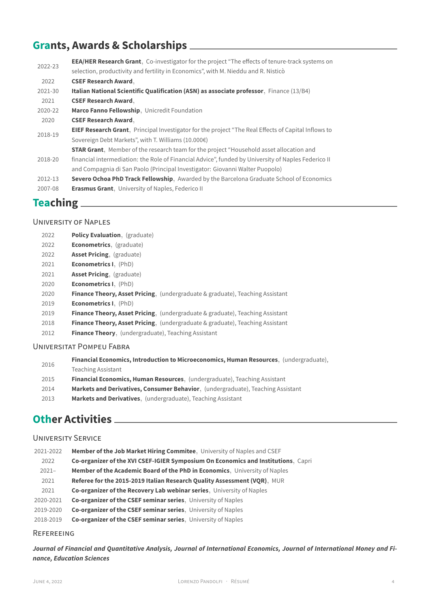# **Grants, Awards & Scholarships**

| 2022-23 | <b>EEA/HER Research Grant</b> , Co-investigator for the project "The effects of tenure-track systems on<br>selection, productivity and fertility in Economics", with M. Nieddu and R. Nisticò |
|---------|-----------------------------------------------------------------------------------------------------------------------------------------------------------------------------------------------|
| 2022    | <b>CSEF Research Award.</b>                                                                                                                                                                   |
| 2021-30 | Italian National Scientific Qualification (ASN) as associate professor, Finance (13/B4)                                                                                                       |
| 2021    | <b>CSEF Research Award.</b>                                                                                                                                                                   |
| 2020-22 | Marco Fanno Fellowship, Unicredit Foundation                                                                                                                                                  |
| 2020    | <b>CSEF Research Award.</b>                                                                                                                                                                   |
| 2018-19 | <b>EIEF Research Grant</b> , Principal Investigator for the project "The Real Effects of Capital Inflows to                                                                                   |
|         | Sovereign Debt Markets", with T. Williams (10.000€)                                                                                                                                           |
|         | <b>STAR Grant</b> , Member of the research team for the project "Household asset allocation and                                                                                               |
| 2018-20 | financial intermediation: the Role of Financial Advice", funded by University of Naples Federico II                                                                                           |
|         | and Compagnia di San Paolo (Principal Investigator: Giovanni Walter Puopolo)                                                                                                                  |
| 2012-13 | <b>Severo Ochoa PhD Track Fellowship.</b> Awarded by the Barcelona Graduate School of Economics                                                                                               |
| 2007-08 | <b>Erasmus Grant</b> , University of Naples, Federico II                                                                                                                                      |

## **Teaching**

### UNIVERSITY OF NAPLES

| 2022 | <b>Policy Evaluation, (graduate)</b>                                                     |
|------|------------------------------------------------------------------------------------------|
| 2022 | <b>Econometrics, (graduate)</b>                                                          |
| 2022 | <b>Asset Pricing, (graduate)</b>                                                         |
| 2021 | <b>Econometrics I.</b> (PhD)                                                             |
| 2021 | <b>Asset Pricing, (graduate)</b>                                                         |
| 2020 | <b>Econometrics I.</b> (PhD)                                                             |
| 2020 | Finance Theory, Asset Pricing, (undergraduate & graduate), Teaching Assistant            |
| 2019 | <b>Econometrics I.</b> (PhD)                                                             |
| 2019 | <b>Finance Theory, Asset Pricing, (undergraduate &amp; graduate), Teaching Assistant</b> |
| 2018 | <b>Finance Theory, Asset Pricing, (undergraduate &amp; graduate), Teaching Assistant</b> |
| 2012 | <b>Finance Theory, (undergraduate), Teaching Assistant</b>                               |

### UNIVERSITAT POMPEU FABRA

| 2016 |      | Financial Economics, Introduction to Microeconomics, Human Resources, (undergraduate), |
|------|------|----------------------------------------------------------------------------------------|
|      |      | <b>Teaching Assistant</b>                                                              |
|      | 2015 | <b>Financial Economics, Human Resources</b> , (undergraduate), Teaching Assistant      |
|      | 2014 | <b>Markets and Derivatives, Consumer Behavior.</b> (undergraduate), Teaching Assistant |
|      | 2013 | <b>Markets and Derivatives.</b> (undergraduate), Teaching Assistant                    |
|      |      |                                                                                        |
|      |      |                                                                                        |

## **Other Activities**

### UNIVERSITY SERVICE

| 2021-2022 | Member of the Job Market Hiring Commitee, University of Naples and CSEF           |
|-----------|-----------------------------------------------------------------------------------|
| 2022      | Co-organizer of the XVI CSEF-IGIER Symposium On Economics and Institutions, Capri |
| $2021 -$  | Member of the Academic Board of the PhD in Economics, University of Naples        |
| 2021      | Referee for the 2015-2019 Italian Research Quality Assessment (VQR), MUR          |
| 2021      | Co-organizer of the Recovery Lab webinar series, University of Naples             |
| 2020-2021 | Co-organizer of the CSEF seminar series, University of Naples                     |
| 2019-2020 | Co-organizer of the CSEF seminar series, University of Naples                     |
| 2018-2019 | Co-organizer of the CSEF seminar series, University of Naples                     |

### REFEREEING

*Journal of Financial and Quantitative Analysis, Journal of International Economics, Journal of International Money and Finance, Education Sciences*